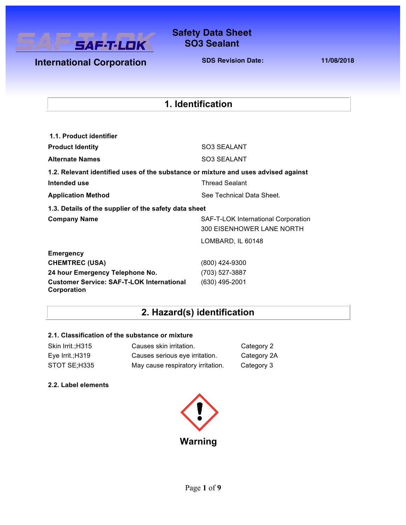

### **Safety Data Sheet Safety Data Sheet SO3 Sealant**

**International Corporation** 

**SDS Revision Date: 11/08/2018**

### **1. Identification**

| 1.1. Product identifier                                                            |                                                                  |
|------------------------------------------------------------------------------------|------------------------------------------------------------------|
| <b>Product Identity</b>                                                            | SO3 SEALANT                                                      |
| <b>Alternate Names</b>                                                             | SO3 SEALANT                                                      |
| 1.2. Relevant identified uses of the substance or mixture and uses advised against |                                                                  |
| Intended use                                                                       | <b>Thread Sealant</b>                                            |
| <b>Application Method</b>                                                          | See Technical Data Sheet.                                        |
| 1.3. Details of the supplier of the safety data sheet                              |                                                                  |
| <b>Company Name</b>                                                                | SAF-T-LOK International Corporation<br>300 EISENHOWER LANE NORTH |
|                                                                                    | LOMBARD, IL 60148                                                |
| <b>Emergency</b>                                                                   |                                                                  |
| <b>CHEMTREC (USA)</b>                                                              | (800) 424-9300                                                   |
| 24 hour Emergency Telephone No.                                                    | (703) 527-3887                                                   |
| <b>Customer Service: SAF-T-LOK International</b><br>Corporation                    | (630) 495-2001                                                   |

# **2. Hazard(s) identification**

### **2.1. Classification of the substance or mixture**

| Skin Irrit.; H315  | Causes skin irritation.           | Category 2  |
|--------------------|-----------------------------------|-------------|
| Eye Irrit.; $H319$ | Causes serious eye irritation.    | Category 2A |
| STOT SE;H335       | May cause respiratory irritation. | Category 3  |

### **2.2. Label elements**

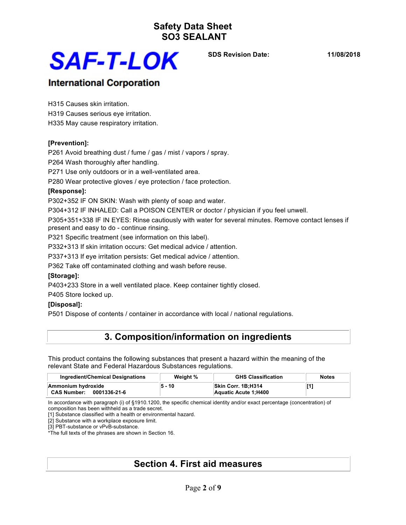

**SDS Revision Date: 11/08/2018**

### **International Corporation**

H315 Causes skin irritation. H319 Causes serious eye irritation. H335 May cause respiratory irritation.

### **[Prevention]:**

P261 Avoid breathing dust / fume / gas / mist / vapors / spray.

P264 Wash thoroughly after handling.

P271 Use only outdoors or in a well-ventilated area.

P280 Wear protective gloves / eye protection / face protection.

### **[Response]:**

P302+352 IF ON SKIN: Wash with plenty of soap and water.

P304+312 IF INHALED: Call a POISON CENTER or doctor / physician if you feel unwell.

P305+351+338 IF IN EYES: Rinse cautiously with water for several minutes. Remove contact lenses if present and easy to do - continue rinsing.

P321 Specific treatment (see information on this label).

P332+313 If skin irritation occurs: Get medical advice / attention.

P337+313 If eye irritation persists: Get medical advice / attention.

P362 Take off contaminated clothing and wash before reuse.

### **[Storage]:**

P403+233 Store in a well ventilated place. Keep container tightly closed.

P405 Store locked up.

### **[Disposal]:**

P501 Dispose of contents / container in accordance with local / national regulations.

### **3. Composition/information on ingredients**

This product contains the following substances that present a hazard within the meaning of the relevant State and Federal Hazardous Substances regulations.

| Ingredient/Chemical Designations                         | Weight % | <b>GHS Classification</b>                         | <b>Notes</b> |
|----------------------------------------------------------|----------|---------------------------------------------------|--------------|
| Ammonium hydroxide<br><b>CAS Number:</b><br>0001336-21-6 | 5 - 10   | <b>Skin Corr. 1B:H314</b><br>Aquatic Acute 1:H400 |              |

In accordance with paragraph (i) of §1910.1200, the specific chemical identity and/or exact percentage (concentration) of composition has been withheld as a trade secret.

[1] Substance classified with a health or environmental hazard.

[2] Substance with a workplace exposure limit.

[3] PBT-substance or vPvB-substance.

\*The full texts of the phrases are shown in Section 16.

### **Section 4. First aid measures**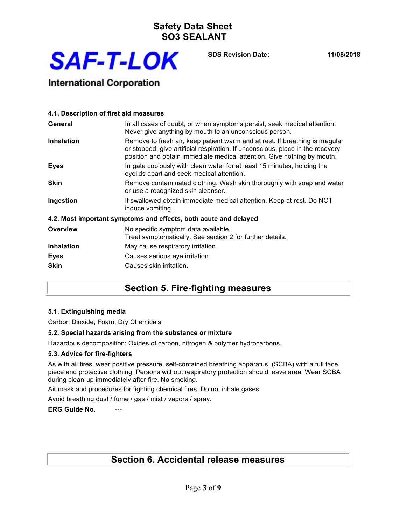

**SDS Revision Date: 11/08/2018**

### **International Corporation**

| 4.1. Description of first aid measures |                                                                                                                                                                                                                                            |
|----------------------------------------|--------------------------------------------------------------------------------------------------------------------------------------------------------------------------------------------------------------------------------------------|
| General                                | In all cases of doubt, or when symptoms persist, seek medical attention.<br>Never give anything by mouth to an unconscious person.                                                                                                         |
| <b>Inhalation</b>                      | Remove to fresh air, keep patient warm and at rest. If breathing is irregular<br>or stopped, give artificial respiration. If unconscious, place in the recovery<br>position and obtain immediate medical attention. Give nothing by mouth. |
| <b>Eyes</b>                            | Irrigate copiously with clean water for at least 15 minutes, holding the<br>eyelids apart and seek medical attention.                                                                                                                      |
| <b>Skin</b>                            | Remove contaminated clothing. Wash skin thoroughly with soap and water<br>or use a recognized skin cleanser.                                                                                                                               |
| Ingestion                              | If swallowed obtain immediate medical attention. Keep at rest. Do NOT<br>induce vomiting.                                                                                                                                                  |
|                                        | 4.2. Most important symptoms and effects, both acute and delayed                                                                                                                                                                           |
| <b>Overview</b>                        | No specific symptom data available.<br>Treat symptomatically. See section 2 for further details.                                                                                                                                           |
| <b>Inhalation</b>                      | May cause respiratory irritation.                                                                                                                                                                                                          |
| <b>Eyes</b>                            | Causes serious eye irritation.                                                                                                                                                                                                             |
| <b>Skin</b>                            | Causes skin irritation.                                                                                                                                                                                                                    |

### **Section 5. Fire-fighting measures**

### **5.1. Extinguishing media**

Carbon Dioxide, Foam, Dry Chemicals.

### **5.2. Special hazards arising from the substance or mixture**

Hazardous decomposition: Oxides of carbon, nitrogen & polymer hydrocarbons.

### **5.3. Advice for fire-fighters**

As with all fires, wear positive pressure, self-contained breathing apparatus, (SCBA) with a full face piece and protective clothing. Persons without respiratory protection should leave area. Wear SCBA during clean-up immediately after fire. No smoking.

Air mask and procedures for fighting chemical fires. Do not inhale gases.

Avoid breathing dust / fume / gas / mist / vapors / spray.

**ERG Guide No.** 

### **Section 6. Accidental release measures**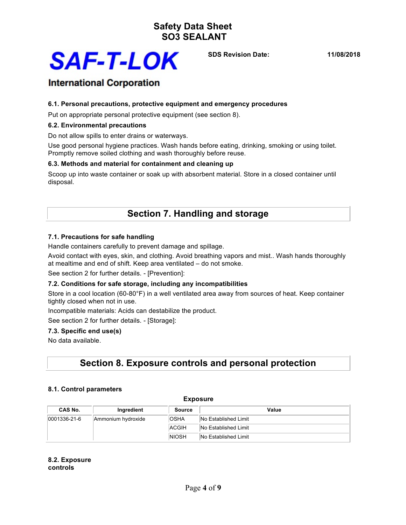

**SDS Revision Date: 11/08/2018**

### **International Corporation**

### **6.1. Personal precautions, protective equipment and emergency procedures**

Put on appropriate personal protective equipment (see section 8).

#### **6.2. Environmental precautions**

Do not allow spills to enter drains or waterways.

Use good personal hygiene practices. Wash hands before eating, drinking, smoking or using toilet. Promptly remove soiled clothing and wash thoroughly before reuse.

### **6.3. Methods and material for containment and cleaning up**

Scoop up into waste container or soak up with absorbent material. Store in a closed container until disposal.

### **Section 7. Handling and storage**

### **7.1. Precautions for safe handling**

Handle containers carefully to prevent damage and spillage.

Avoid contact with eyes, skin, and clothing. Avoid breathing vapors and mist.. Wash hands thoroughly at mealtime and end of shift. Keep area ventilated – do not smoke.

See section 2 for further details. - [Prevention]:

#### **7.2. Conditions for safe storage, including any incompatibilities**

Store in a cool location (60-80°F) in a well ventilated area away from sources of heat. Keep container tightly closed when not in use.

Incompatible materials: Acids can destabilize the product.

See section 2 for further details. - [Storage]:

#### **7.3. Specific end use(s)**

No data available.

### **Section 8. Exposure controls and personal protection**

#### **8.1. Control parameters**

| --------       |                    |              |                      |  |
|----------------|--------------------|--------------|----------------------|--|
| <b>CAS No.</b> | Ingredient         | Source       | Value                |  |
| 0001336-21-6   | Ammonium hydroxide | <b>OSHA</b>  | No Established Limit |  |
|                |                    | <b>ACGIH</b> | No Established Limit |  |
|                |                    | <b>NIOSH</b> | No Established Limit |  |

**Exposure**

**8.2. Exposure controls**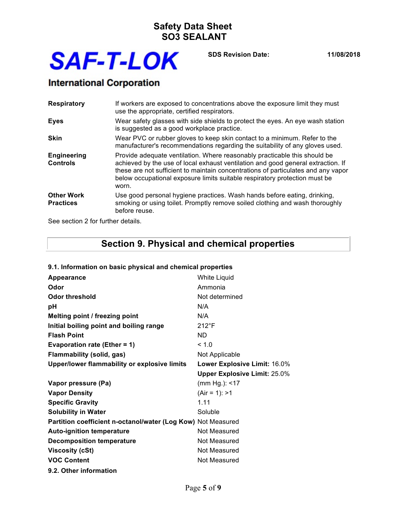

**SDS Revision Date: 11/08/2018**

# **International Corporation**

| <b>Respiratory</b>                    | If workers are exposed to concentrations above the exposure limit they must<br>use the appropriate, certified respirators.                                                                                                                                                                                                                |
|---------------------------------------|-------------------------------------------------------------------------------------------------------------------------------------------------------------------------------------------------------------------------------------------------------------------------------------------------------------------------------------------|
| <b>Eyes</b>                           | Wear safety glasses with side shields to protect the eyes. An eye wash station<br>is suggested as a good workplace practice.                                                                                                                                                                                                              |
| <b>Skin</b>                           | Wear PVC or rubber gloves to keep skin contact to a minimum. Refer to the<br>manufacturer's recommendations regarding the suitability of any gloves used.                                                                                                                                                                                 |
| <b>Engineering</b><br><b>Controls</b> | Provide adequate ventilation. Where reasonably practicable this should be<br>achieved by the use of local exhaust ventilation and good general extraction. If<br>these are not sufficient to maintain concentrations of particulates and any vapor<br>below occupational exposure limits suitable respiratory protection must be<br>worn. |
| <b>Other Work</b><br><b>Practices</b> | Use good personal hygiene practices. Wash hands before eating, drinking,<br>smoking or using toilet. Promptly remove soiled clothing and wash thoroughly<br>before reuse.                                                                                                                                                                 |

See section 2 for further details.

# **Section 9. Physical and chemical properties**

| Appearance                                                   | White Liquid                        |
|--------------------------------------------------------------|-------------------------------------|
| Odor                                                         | Ammonia                             |
| <b>Odor threshold</b>                                        | Not determined                      |
| pH                                                           | N/A                                 |
| Melting point / freezing point                               | N/A                                 |
| Initial boiling point and boiling range                      | $212^{\circ}F$                      |
| <b>Flash Point</b>                                           | <b>ND</b>                           |
| <b>Evaporation rate (Ether = 1)</b>                          | < 1.0                               |
| Flammability (solid, gas)                                    | Not Applicable                      |
| Upper/lower flammability or explosive limits                 | Lower Explosive Limit: 16.0%        |
|                                                              | <b>Upper Explosive Limit: 25.0%</b> |
| Vapor pressure (Pa)                                          | (mm Hg.): <17                       |
| <b>Vapor Density</b>                                         | $(Air = 1): > 1$                    |
| <b>Specific Gravity</b>                                      | 1.11                                |
| <b>Solubility in Water</b>                                   | Soluble                             |
| Partition coefficient n-octanol/water (Log Kow) Not Measured |                                     |
| <b>Auto-ignition temperature</b>                             | Not Measured                        |
| <b>Decomposition temperature</b>                             | Not Measured                        |
| <b>Viscosity (cSt)</b>                                       | Not Measured                        |
| <b>VOC Content</b>                                           | Not Measured                        |
| 9.2. Other information                                       |                                     |

### **9.1. Information on basic physical and chemical properties**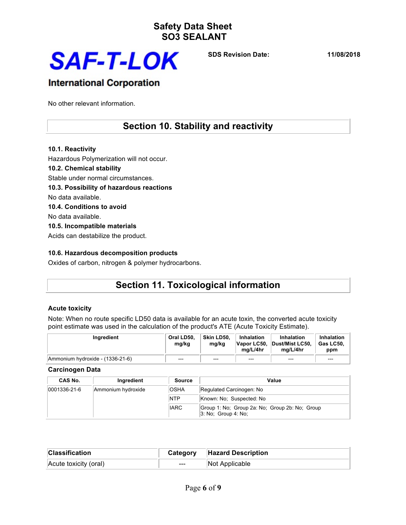

**SDS Revision Date: 11/08/2018**

### **International Corporation**

No other relevant information.

### **Section 10. Stability and reactivity**

**10.1. Reactivity** Hazardous Polymerization will not occur. **10.2. Chemical stability** Stable under normal circumstances. **10.3. Possibility of hazardous reactions** No data available. **10.4. Conditions to avoid** No data available. **10.5. Incompatible materials** Acids can destabilize the product.

### **10.6. Hazardous decomposition products**

Oxides of carbon, nitrogen & polymer hydrocarbons.

## **Section 11. Toxicological information**

### **Acute toxicity**

Note: When no route specific LD50 data is available for an acute toxin, the converted acute toxicity point estimate was used in the calculation of the product's ATE (Acute Toxicity Estimate).

| <b>Ingredient</b>                | Oral LD50.<br>mg/kg | Skin LD50.<br>mg/kg | Inhalation<br>ma/L/4hr | <b>Inhalation</b><br>Vapor LC50, Dust/Mist LC50,<br>ma/L/4hr | <b>Inhalation</b><br>່ Gas LC50.<br>ppm |
|----------------------------------|---------------------|---------------------|------------------------|--------------------------------------------------------------|-----------------------------------------|
| Ammonium hydroxide - (1336-21-6) | $---$               | $---$               | $-- -$                 | $---$                                                        | $---$                                   |

**Carcinogen Data**

| CAS No.      | Ingredient         | Source      | Value                                                                    |
|--------------|--------------------|-------------|--------------------------------------------------------------------------|
| 0001336-21-6 | Ammonium hydroxide | <b>OSHA</b> | Regulated Carcinogen: No                                                 |
|              |                    | <b>NTP</b>  | Known: No: Suspected: No                                                 |
|              |                    | <b>IARC</b> | Group 1: No: Group 2a: No: Group 2b: No: Group<br>$ 3:$ No: Group 4: No: |

| <b>Classification</b> |       | <b>Category Hazard Description</b> |
|-----------------------|-------|------------------------------------|
| Acute toxicity (oral) | $---$ | Not Applicable                     |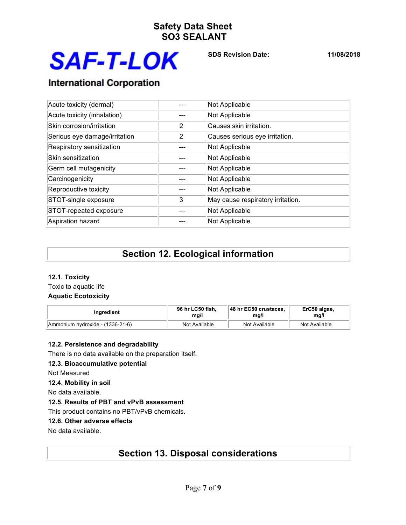

**SDS Revision Date: 11/08/2018**

# **International Corporation**

| Acute toxicity (dermal)       |   | Not Applicable                    |  |
|-------------------------------|---|-----------------------------------|--|
| Acute toxicity (inhalation)   |   | Not Applicable                    |  |
| Skin corrosion/irritation     | 2 | Causes skin irritation.           |  |
| Serious eye damage/irritation | 2 | Causes serious eye irritation.    |  |
| Respiratory sensitization     |   | Not Applicable                    |  |
| Skin sensitization            |   | Not Applicable                    |  |
| Germ cell mutagenicity        |   | Not Applicable                    |  |
| Carcinogenicity               |   | Not Applicable                    |  |
| Reproductive toxicity         |   | Not Applicable                    |  |
| STOT-single exposure          | 3 | May cause respiratory irritation. |  |
| STOT-repeated exposure        |   | Not Applicable                    |  |
| Aspiration hazard             |   | Not Applicable                    |  |

## **Section 12. Ecological information**

### **12.1. Toxicity**

Toxic to aquatic life **Aquatic Ecotoxicity**

| <b>Ingredient</b>                | 96 hr LC50 fish, | 48 hr EC50 crustacea. | ErC50 algae,  |
|----------------------------------|------------------|-----------------------|---------------|
|                                  | ma/l             | mg/l                  | mg/l          |
| Ammonium hydroxide - (1336-21-6) | Not Available    | Not Available         | Not Available |

### **12.2. Persistence and degradability**

There is no data available on the preparation itself.

### **12.3. Bioaccumulative potential**

Not Measured

### **12.4. Mobility in soil**

No data available.

### **12.5. Results of PBT and vPvB assessment**

This product contains no PBT/vPvB chemicals.

### **12.6. Other adverse effects**

No data available.

### **Section 13. Disposal considerations**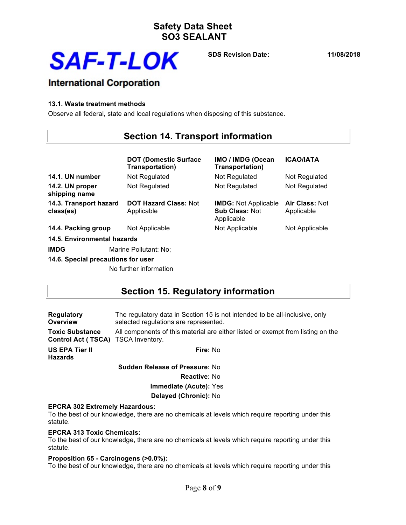

**SDS Revision Date: 11/08/2018**

## **International Corporation**

### **13.1. Waste treatment methods**

Observe all federal, state and local regulations when disposing of this substance.

### **Section 14. Transport information**

|                                      | <b>DOT (Domestic Surface</b><br><b>Transportation)</b> | IMO / IMDG (Ocean<br>Transportation)                               | <b>ICAO/IATA</b>             |
|--------------------------------------|--------------------------------------------------------|--------------------------------------------------------------------|------------------------------|
| 14.1. UN number                      | Not Regulated                                          | Not Regulated                                                      | Not Regulated                |
| 14.2. UN proper<br>shipping name     | Not Regulated                                          | Not Regulated                                                      | Not Regulated                |
| 14.3. Transport hazard<br>class(es)  | <b>DOT Hazard Class: Not</b><br>Applicable             | <b>IMDG:</b> Not Applicable<br><b>Sub Class: Not</b><br>Applicable | Air Class: Not<br>Applicable |
| 14.4. Packing group                  | Not Applicable                                         | Not Applicable                                                     | Not Applicable               |
| 14.5. Environmental hazards          |                                                        |                                                                    |                              |
| <b>IMDG</b><br>Marine Pollutant: No; |                                                        |                                                                    |                              |
| 14.6. Special precautions for user   |                                                        |                                                                    |                              |

No further information

### **Section 15. Regulatory information**

| <b>Regulatory</b><br>Overview                                | The regulatory data in Section 15 is not intended to be all-inclusive, only<br>selected regulations are represented. |  |
|--------------------------------------------------------------|----------------------------------------------------------------------------------------------------------------------|--|
| <b>Toxic Substance</b><br>Control Act (TSCA) TSCA Inventory. | All components of this material are either listed or exempt from listing on the                                      |  |
| US EPA Tier II<br><b>Hazards</b>                             | Fire: No                                                                                                             |  |
|                                                              | <b>Sudden Release of Pressure: No</b>                                                                                |  |
|                                                              | <b>Reactive: No</b>                                                                                                  |  |
|                                                              | <b>Immediate (Acute): Yes</b>                                                                                        |  |
|                                                              | Delayed (Chronic): No                                                                                                |  |

### **EPCRA 302 Extremely Hazardous:**

To the best of our knowledge, there are no chemicals at levels which require reporting under this statute.

### **EPCRA 313 Toxic Chemicals:**

To the best of our knowledge, there are no chemicals at levels which require reporting under this statute.

#### **Proposition 65 - Carcinogens (>0.0%):**

To the best of our knowledge, there are no chemicals at levels which require reporting under this